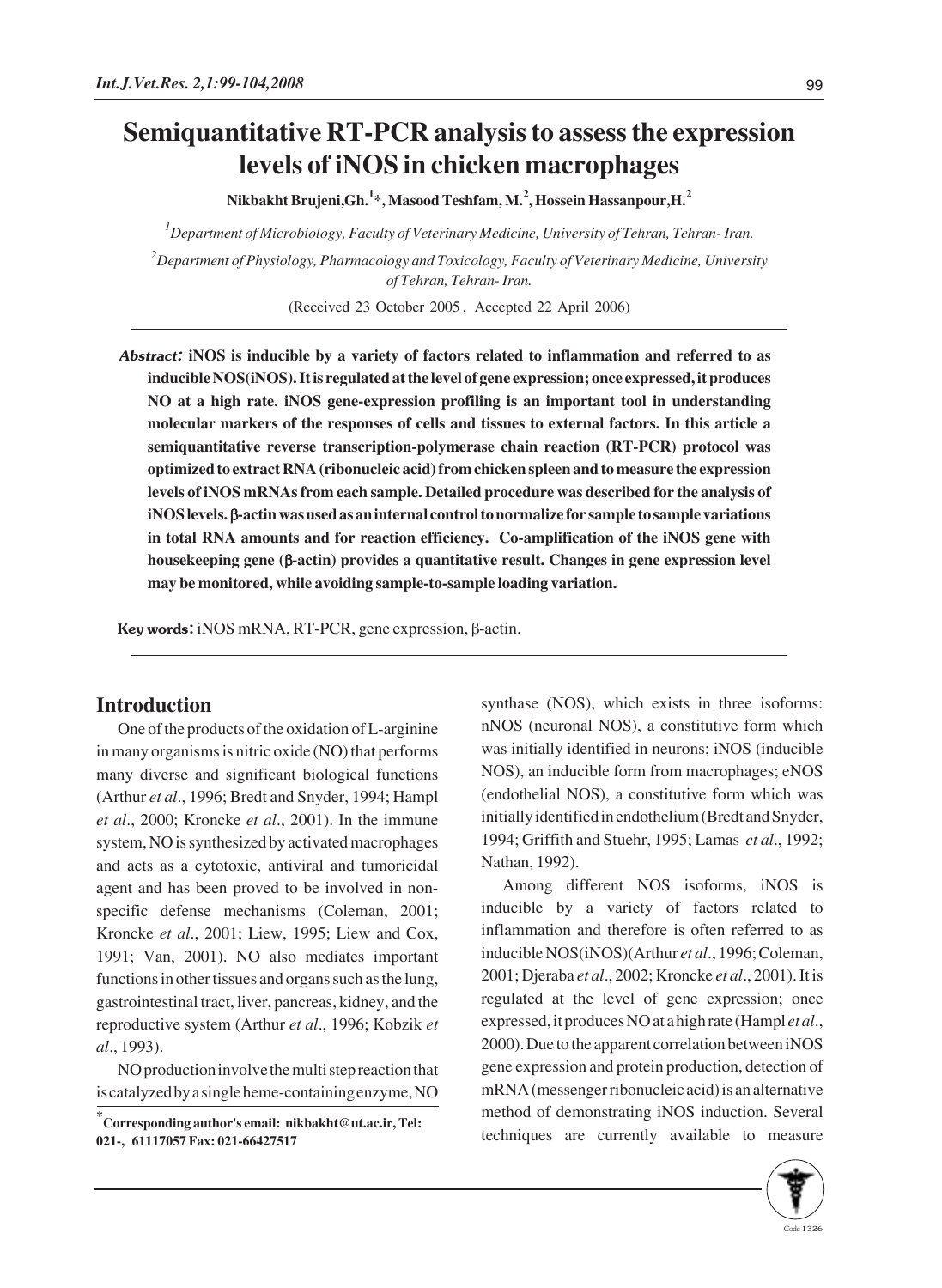## **Semiquantitative RT-PCR analysis to assess the expression levels of iNOS in chicken macrophages**

**Nikbakht Brujeni,Gh.<sup>1</sup> \*, Masood Teshfam, M.<sup>2</sup> , Hossein Hassanpour,H.<sup>2</sup>**

*1 Department of Microbiology, Faculty of Veterinary Medicine, University of Tehran, Tehran- Iran.*

*2 Department of Physiology, Pharmacology and Toxicology, Faculty of Veterinary Medicine, University of Tehran, Tehran- Iran.*

(Received 23 October 2005 , Accepted 22 April 2006)

Abstract: **iNOS is inducible by a variety of factors related to inflammation and referred to as inducible NOS(iNOS). It is regulated at the level of gene expression; once expressed, it produces NO at a high rate. iNOS gene-expression profiling is an important tool in understanding molecular markers of the responses of cells and tissues to external factors. In this article a semiquantitative reverse transcription-polymerase chain reaction (RT-PCR) protocol was optimized to extract RNA (ribonucleic acid) from chicken spleen and to measure the expression levels of iNOS mRNAs from each sample. Detailed procedure was described for the analysis of iNOS levels.** β**-actin was used as an internal control to normalize for sample to sample variations in total RNA amounts and for reaction efficiency. Co-amplification of the iNOS gene with housekeeping gene (**β**-actin) provides a quantitative result. Changes in gene expression level may be monitored, while avoiding sample-to-sample loading variation.** 

Key words: iNOS mRNA, RT-PCR, gene expression, β-actin.

## **Introduction**

One of the products of the oxidation of L-arginine in many organisms is nitric oxide (NO) that performs many diverse and significant biological functions (Arthur *et al*., 1996; Bredt and Snyder, 1994; Hampl *et al*., 2000; Kroncke *et al*., 2001). In the immune system, NO is synthesized by activated macrophages and acts as a cytotoxic, antiviral and tumoricidal agent and has been proved to be involved in nonspecific defense mechanisms (Coleman, 2001; Kroncke *et al*., 2001; Liew, 1995; Liew and Cox, 1991; Van, 2001). NO also mediates important functions in other tissues and organs such as the lung, gastrointestinal tract, liver, pancreas, kidney, and the reproductive system (Arthur *et al*., 1996; Kobzik *et al*., 1993).

NO production involve the multi step reaction that is catalyzed by a single heme-containing enzyme, NO synthase (NOS), which exists in three isoforms: nNOS (neuronal NOS), a constitutive form which was initially identified in neurons; iNOS (inducible NOS), an inducible form from macrophages; eNOS (endothelial NOS), a constitutive form which was initially identified in endothelium (Bredt and Snyder, 1994; Griffith and Stuehr, 1995; Lamas *et al*., 1992; Nathan, 1992).

Among different NOS isoforms, iNOS is inducible by a variety of factors related to inflammation and therefore is often referred to as inducible NOS(iNOS)(Arthur *et al*., 1996; Coleman, 2001; Djeraba *et al*., 2002; Kroncke *et al*., 2001). It is regulated at the level of gene expression; once expressed, it produces NO at a high rate (Hampl *et al*., 2000). Due to the apparent correlation between iNOS gene expression and protein production, detection of mRNA (messenger ribonucleic acid) is an alternative method of demonstrating iNOS induction. Several techniques are currently available to measure



**<sup>\*</sup> Corresponding author's email: nikbakht@ut.ac.ir, Tel: 021-, 61117057 Fax: 021-66427517**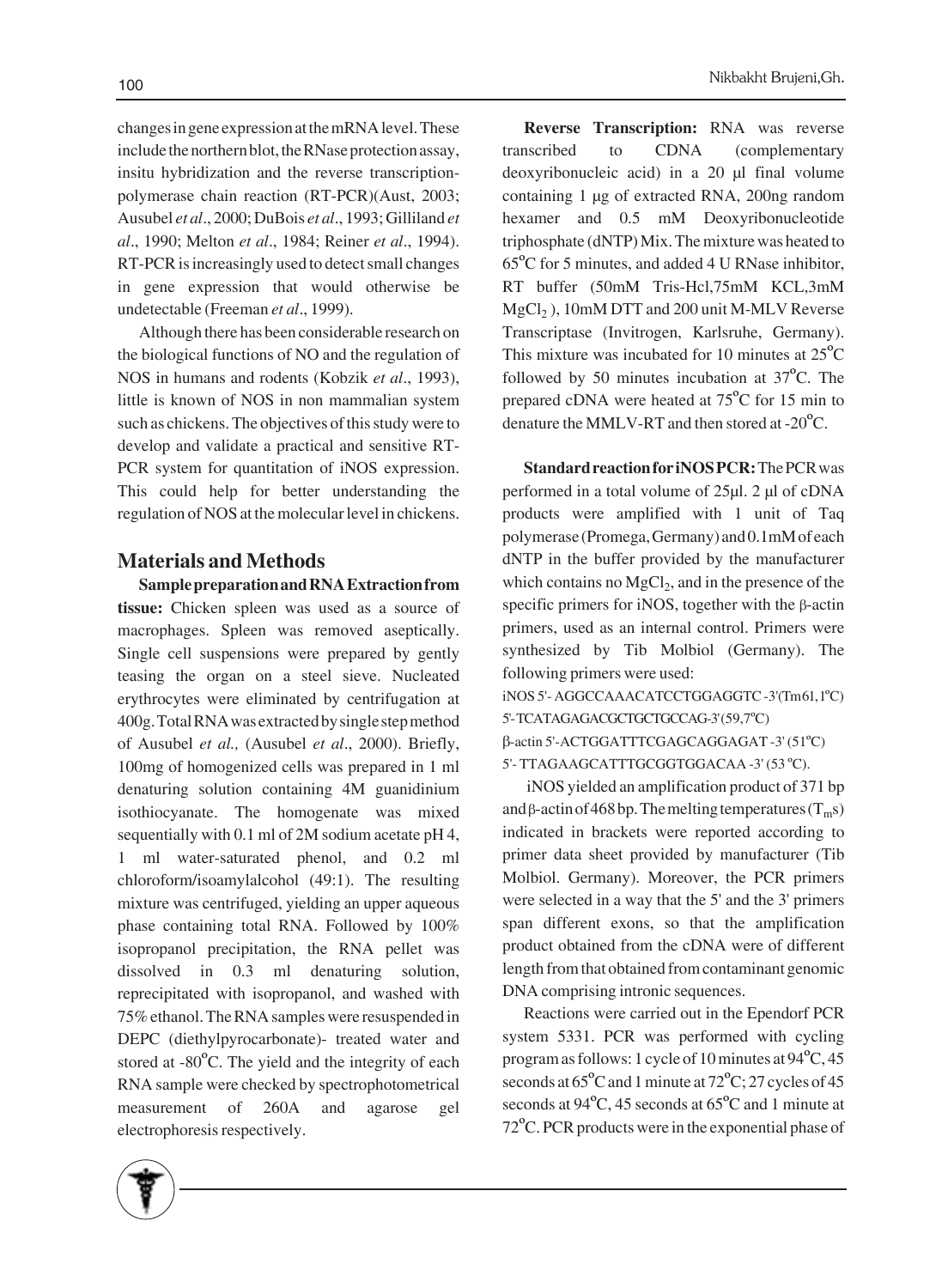changes in gene expression at the mRNA level. These include the northern blot, the RNase protection assay, insitu hybridization and the reverse transcriptionpolymerase chain reaction (RT-PCR)(Aust, 2003; Ausubel *et al*., 2000; DuBois *et al*., 1993; Gilliland *et al*., 1990; Melton *et al*., 1984; Reiner *et al*., 1994). RT-PCR is increasingly used to detect small changes in gene expression that would otherwise be undetectable (Freeman *et al*., 1999).

Although there has been considerable research on the biological functions of NO and the regulation of NOS in humans and rodents (Kobzik *et al*., 1993), little is known of NOS in non mammalian system such as chickens. The objectives of this study were to develop and validate a practical and sensitive RT-PCR system for quantitation of iNOS expression. This could help for better understanding the regulation of NOS at the molecular level in chickens.

## **Materials and Methods**

**Sample preparation and RNA Extraction from tissue:** Chicken spleen was used as a source of macrophages. Spleen was removed aseptically. Single cell suspensions were prepared by gently teasing the organ on a steel sieve. Nucleated erythrocytes were eliminated by centrifugation at 400g. Total RNA was extracted by single step method of Ausubel *et al.,* (Ausubel *et al*., 2000). Briefly, 100mg of homogenized cells was prepared in 1 ml denaturing solution containing 4M guanidinium isothiocyanate. The homogenate was mixed sequentially with 0.1 ml of 2M sodium acetate pH 4, 1 ml water-saturated phenol, and 0.2 ml chloroform/isoamylalcohol (49:1). The resulting mixture was centrifuged, yielding an upper aqueous phase containing total RNA. Followed by 100% isopropanol precipitation, the RNA pellet was dissolved in 0.3 ml denaturing solution, reprecipitated with isopropanol, and washed with 75% ethanol. The RNA samples were resuspended in DEPC (diethylpyrocarbonate)- treated water and stored at -80ºC. The yield and the integrity of each RNA sample were checked by spectrophotometrical measurement of 260A and agarose gel electrophoresis respectively.

**Reverse Transcription:** RNA was reverse transcribed to CDNA (complementary deoxyribonucleic acid) in a 20 μl final volume containing 1 μg of extracted RNA, 200ng random hexamer and 0.5 mM Deoxyribonucleotide triphosphate (dNTP) Mix. The mixture was heated to 65ºC for 5 minutes, and added 4 U RNase inhibitor, RT buffer (50mM Tris-Hcl,75mM KCL,3mM  $MgCl<sub>2</sub>$ ), 10mM DTT and 200 unit M-MLV Reverse Transcriptase (Invitrogen, Karlsruhe, Germany). This mixture was incubated for 10 minutes at  $25^{\circ}$ C followed by 50 minutes incubation at 37ºC. The prepared cDNA were heated at 75ºC for 15 min to denature the MMLV-RT and then stored at -20ºC.

**Standard reaction for iNOS PCR:** The PCR was performed in a total volume of 25μl. 2 μl of cDNA products were amplified with 1 unit of Taq polymerase (Promega, Germany) and 0.1mM of each dNTP in the buffer provided by the manufacturer which contains no  $MgCl<sub>2</sub>$ , and in the presence of the specific primers for iNOS, together with the β-actin primers, used as an internal control. Primers were synthesized by Tib Molbiol (Germany). The following primers were used: iNOS 5'- AGGCCAAACATCCTGGAGGTC -3'(Tm 61, 1ºC) 5'- TCATAGAGACGCTGCTGCCAG-3' (59,7ºC)

β-actin 5'-ACTGGATTTCGAGCAGGAGAT -3' (51ºC) 5'- TTAGAAGCATTTGCGGTGGACAA -3' (53 ºC).

iNOS yielded an amplification product of 371 bp and β-actin of 468 bp. The melting temperatures ( $T_m$ s) indicated in brackets were reported according to primer data sheet provided by manufacturer (Tib Molbiol. Germany). Moreover, the PCR primers were selected in a way that the 5' and the 3' primers span different exons, so that the amplification product obtained from the cDNA were of different length from that obtained from contaminant genomic DNA comprising intronic sequences.

Reactions were carried out in the Ependorf PCR system 5331. PCR was performed with cycling program as follows: 1 cycle of 10 minutes at 94ºC, 45 seconds at  $65^{\circ}$ C and 1 minute at  $72^{\circ}$ C; 27 cycles of 45 seconds at  $94^{\circ}$ C, 45 seconds at  $65^{\circ}$ C and 1 minute at 72ºC. PCR products were in the exponential phase of

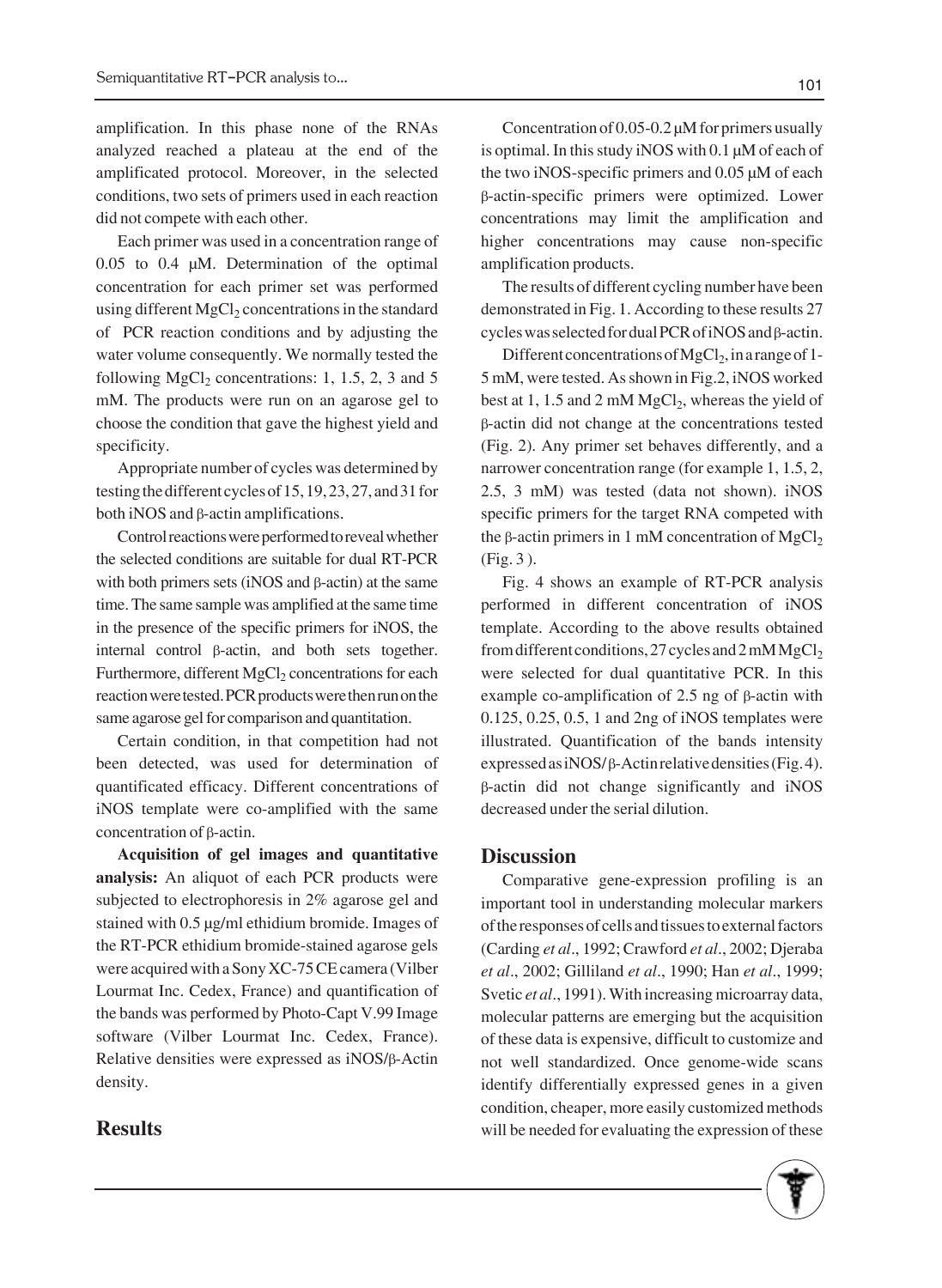amplification. In this phase none of the RNAs analyzed reached a plateau at the end of the amplificated protocol. Moreover, in the selected conditions, two sets of primers used in each reaction did not compete with each other.

Each primer was used in a concentration range of 0.05 to 0.4 μM. Determination of the optimal concentration for each primer set was performed using different  $MgCl<sub>2</sub>$  concentrations in the standard of PCR reaction conditions and by adjusting the water volume consequently. We normally tested the following MgCl<sub>2</sub> concentrations: 1, 1.5, 2, 3 and 5 mM. The products were run on an agarose gel to choose the condition that gave the highest yield and specificity.

Appropriate number of cycles was determined by testing the different cycles of 15, 19, 23, 27, and 31 for both iNOS and β-actin amplifications.

Control reactions were performed to reveal whether the selected conditions are suitable for dual RT-PCR with both primers sets (iNOS and β-actin) at the same time. The same sample was amplified at the same time in the presence of the specific primers for iNOS, the internal control β-actin, and both sets together. Furthermore, different MgCl<sub>2</sub> concentrations for each reaction were tested. PCR products were then run on the same agarose gel for comparison and quantitation.

Certain condition, in that competition had not been detected, was used for determination of quantificated efficacy. Different concentrations of iNOS template were co-amplified with the same concentration of β-actin.

**Acquisition of gel images and quantitative analysis:** An aliquot of each PCR products were subjected to electrophoresis in 2% agarose gel and stained with 0.5 μg/ml ethidium bromide. Images of the RT-PCR ethidium bromide-stained agarose gels were acquired with a Sony XC-75 CE camera (Vilber Lourmat Inc. Cedex, France) and quantification of the bands was performed by Photo-Capt V.99 Image software (Vilber Lourmat Inc. Cedex, France). Relative densities were expressed as iNOS/β-Actin density.

## **Results**

Concentration of 0.05-0.2 μM for primers usually is optimal. In this study iNOS with 0.1 μM of each of the two iNOS-specific primers and 0.05 μM of each β-actin-specific primers were optimized. Lower concentrations may limit the amplification and higher concentrations may cause non-specific amplification products.

The results of different cycling number have been demonstrated in Fig. 1. According to these results 27 cycles was selected for dual PCR of iNOS and β-actin.

Different concentrations of MgCl<sub>2</sub>, in a range of 1-5 mM, were tested. As shown in Fig.2, iNOS worked best at 1, 1.5 and 2 mM  $MgCl<sub>2</sub>$ , whereas the yield of β-actin did not change at the concentrations tested (Fig. 2). Any primer set behaves differently, and a narrower concentration range (for example 1, 1.5, 2, 2.5, 3 mM) was tested (data not shown). iNOS specific primers for the target RNA competed with the β-actin primers in 1 mM concentration of MgCl<sub>2</sub> (Fig. 3 ).

Fig. 4 shows an example of RT-PCR analysis performed in different concentration of iNOS template. According to the above results obtained from different conditions, 27 cycles and  $2 \text{ mM MgCl}_2$ were selected for dual quantitative PCR. In this example co-amplification of 2.5 ng of β-actin with 0.125, 0.25, 0.5, 1 and 2ng of iNOS templates were illustrated. Quantification of the bands intensity expressed as iNOS/ β-Actin relative densities (Fig. 4). β-actin did not change significantly and iNOS decreased under the serial dilution.

### **Discussion**

Comparative gene-expression profiling is an important tool in understanding molecular markers of the responses of cells and tissues to external factors (Carding *et al*., 1992; Crawford *et al*., 2002; Djeraba *et al*., 2002; Gilliland *et al*., 1990; Han *et al*., 1999; Svetic *et al*., 1991). With increasing microarray data, molecular patterns are emerging but the acquisition of these data is expensive, difficult to customize and not well standardized. Once genome-wide scans identify differentially expressed genes in a given condition, cheaper, more easily customized methods will be needed for evaluating the expression of these

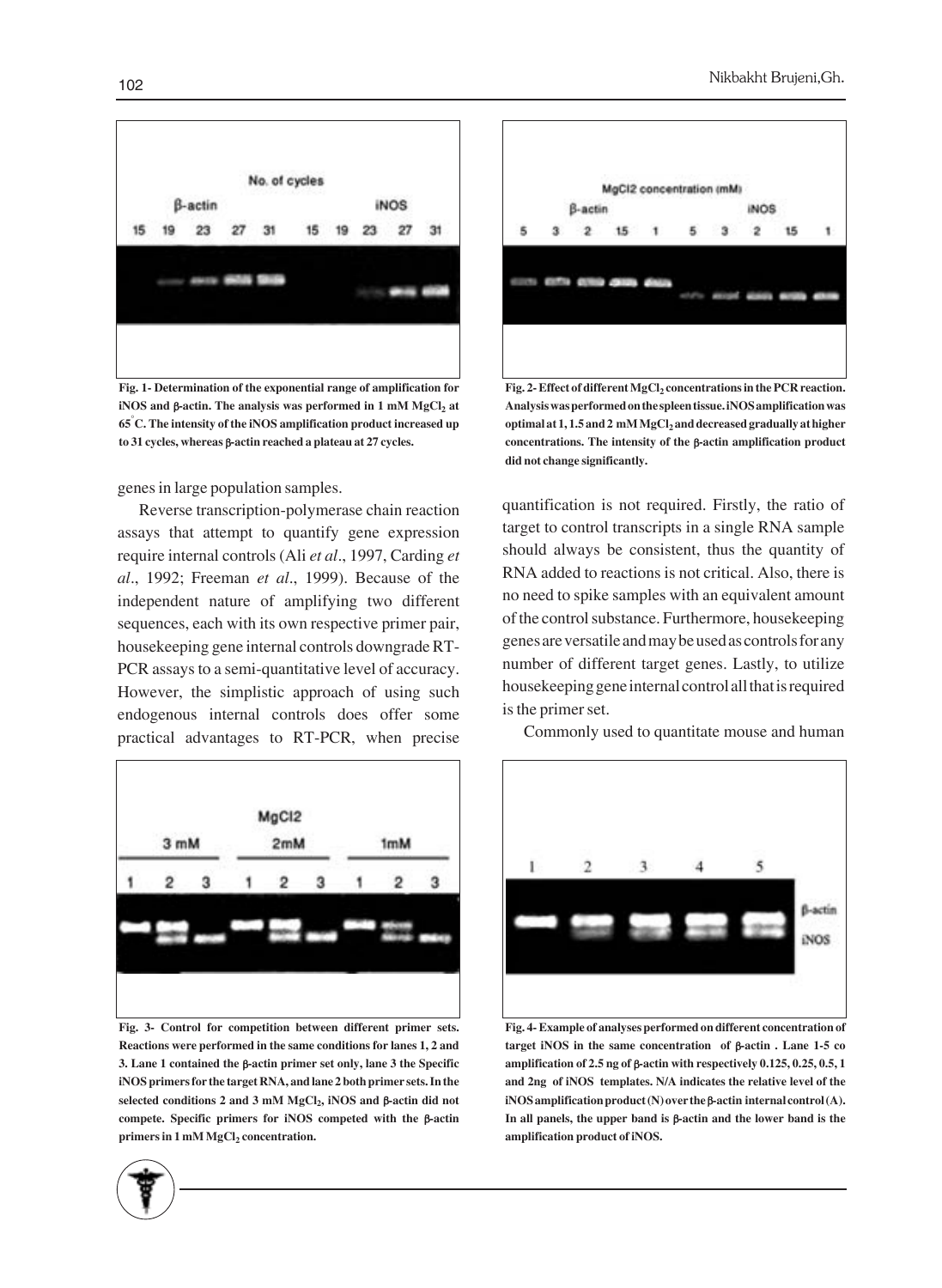

**Fig. 1- Determination of the exponential range of amplification for iNOS** and β-actin. The analysis was performed in 1 mM MgCl<sub>2</sub> at **65° C. The intensity of the iNOS amplification product increased up to 31 cycles, whereas** β**-actin reached a plateau at 27 cycles.**

genes in large population samples.

Reverse transcription-polymerase chain reaction assays that attempt to quantify gene expression require internal controls (Ali *et al*., 1997, Carding *et al*., 1992; Freeman *et al*., 1999). Because of the independent nature of amplifying two different sequences, each with its own respective primer pair, housekeeping gene internal controls downgrade RT-PCR assays to a semi-quantitative level of accuracy. However, the simplistic approach of using such endogenous internal controls does offer some practical advantages to RT-PCR, when precise



**Fig. 3- Control for competition between different primer sets. Reactions were performed in the same conditions for lanes 1, 2 and 3. Lane 1 contained the** β**-actin primer set only, lane 3 the Specific iNOS primers for the target RNA, and lane 2 both primer sets. In the selected conditions 2 and 3 mM MgCl2, iNOS and** β**-actin did not compete. Specific primers for iNOS competed with the** β**-actin primers in 1 mM MgCl<sub>2</sub> concentration.** 



Fig. 2- Effect of different MgCl<sub>2</sub> concentrations in the PCR reaction. **Analysis was performed on the spleen tissue. iNOS amplification was** optimal at 1, 1.5 and 2 mM MgCl<sub>2</sub> and decreased gradually at higher **concentrations. The intensity of the** β**-actin amplification product did not change significantly.**

quantification is not required. Firstly, the ratio of target to control transcripts in a single RNA sample should always be consistent, thus the quantity of RNA added to reactions is not critical. Also, there is no need to spike samples with an equivalent amount of the control substance. Furthermore, housekeeping genes are versatile and may be used as controls for any number of different target genes. Lastly, to utilize housekeeping gene internal control all that is required is the primer set.



Commonly used to quantitate mouse and human

**Fig. 4- Example of analyses performed on different concentration of target iNOS in the same concentration of** β**-actin . Lane 1-5 co amplification of 2.5 ng of** β**-actin with respectively 0.125, 0.25, 0.5, 1 and 2ng of iNOS templates. N/A indicates the relative level of the iNOS amplification product (N) over the** β**-actin internal control (A). In all panels, the upper band is** β**-actin and the lower band is the amplification product of iNOS.**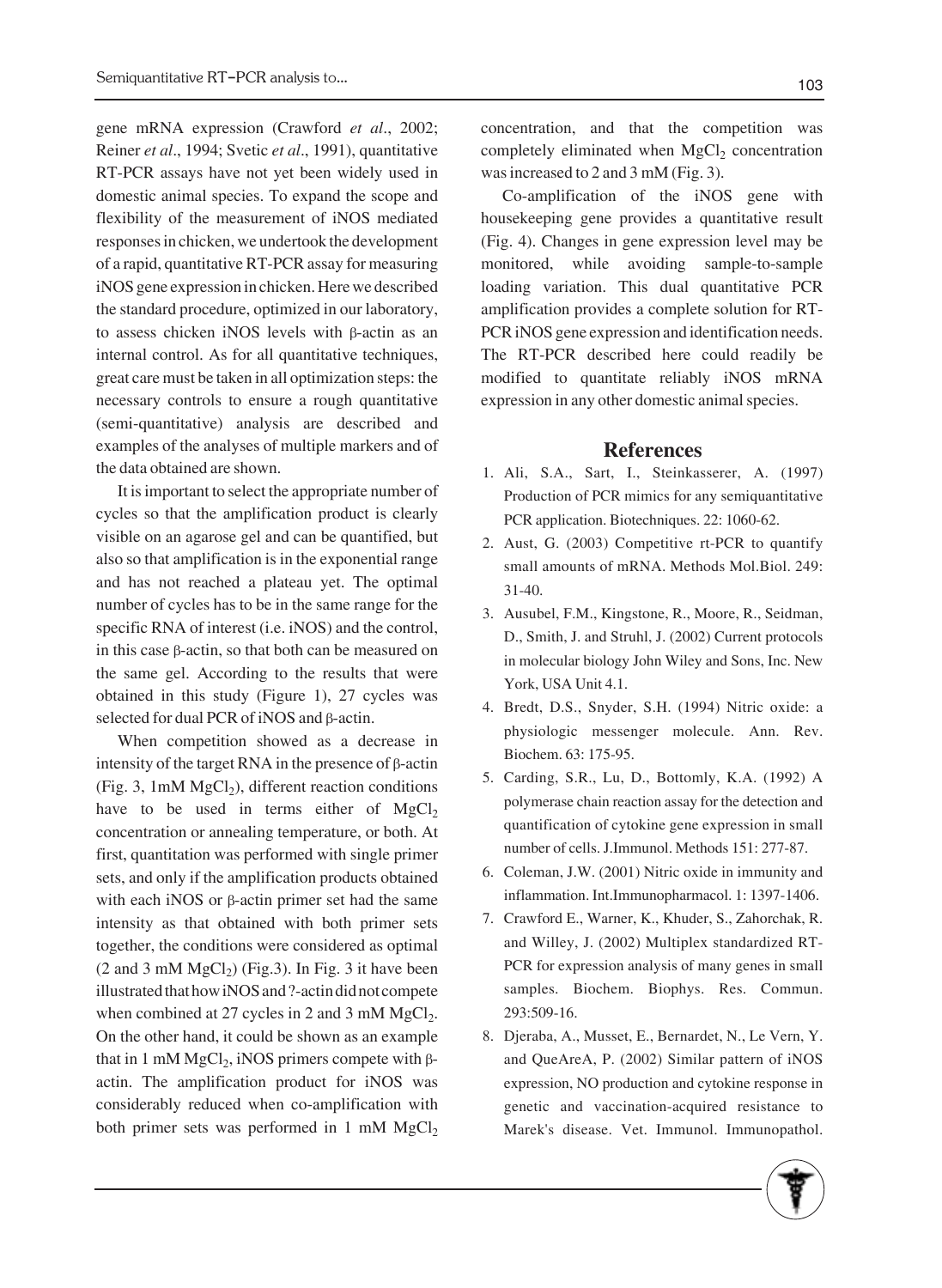gene mRNA expression (Crawford *et al*., 2002; Reiner *et al*., 1994; Svetic *et al*., 1991), quantitative RT-PCR assays have not yet been widely used in domestic animal species. To expand the scope and flexibility of the measurement of iNOS mediated responses in chicken, we undertook the development of a rapid, quantitative RT-PCR assay for measuring iNOS gene expression in chicken. Here we described the standard procedure, optimized in our laboratory, to assess chicken iNOS levels with β-actin as an internal control. As for all quantitative techniques, great care must be taken in all optimization steps: the necessary controls to ensure a rough quantitative (semi-quantitative) analysis are described and examples of the analyses of multiple markers and of the data obtained are shown.

It is important to select the appropriate number of cycles so that the amplification product is clearly visible on an agarose gel and can be quantified, but also so that amplification is in the exponential range and has not reached a plateau yet. The optimal number of cycles has to be in the same range for the specific RNA of interest (i.e. iNOS) and the control, in this case β-actin, so that both can be measured on the same gel. According to the results that were obtained in this study (Figure 1), 27 cycles was selected for dual PCR of iNOS and β-actin.

When competition showed as a decrease in intensity of the target RNA in the presence of β-actin  $(Fig. 3, 1mM MgCl<sub>2</sub>)$ , different reaction conditions have to be used in terms either of  $MgCl<sub>2</sub>$ concentration or annealing temperature, or both. At first, quantitation was performed with single primer sets, and only if the amplification products obtained with each iNOS or β-actin primer set had the same intensity as that obtained with both primer sets together, the conditions were considered as optimal  $(2 \text{ and } 3 \text{ mM } MgCl<sub>2</sub>)$  (Fig. 3). In Fig. 3 it have been illustrated that how iNOS and ?-actin did not compete when combined at 27 cycles in 2 and 3 mM  $MgCl<sub>2</sub>$ . On the other hand, it could be shown as an example that in 1 mM MgCl<sub>2</sub>, iNOS primers compete with βactin. The amplification product for iNOS was considerably reduced when co-amplification with both primer sets was performed in 1 mM  $MgCl<sub>2</sub>$  concentration, and that the competition was completely eliminated when  $MgCl<sub>2</sub>$  concentration was increased to 2 and 3 mM (Fig. 3).

Co-amplification of the iNOS gene with housekeeping gene provides a quantitative result (Fig. 4). Changes in gene expression level may be monitored, while avoiding sample-to-sample loading variation. This dual quantitative PCR amplification provides a complete solution for RT-PCR iNOS gene expression and identification needs. The RT-PCR described here could readily be modified to quantitate reliably iNOS mRNA expression in any other domestic animal species.

#### **References**

- Ali, S.A., Sart, I., Steinkasserer, A. (1997) 1. Production of PCR mimics for any semiquantitative PCR application. Biotechniques. 22: 1060-62.
- 2. Aust, G. (2003) Competitive rt-PCR to quantify small amounts of mRNA. Methods Mol.Biol. 249: 31-40.
- 3. Ausubel, F.M., Kingstone, R., Moore, R., Seidman, D., Smith, J. and Struhl, J. (2002) Current protocols in molecular biology John Wiley and Sons, Inc. New York, USA Unit 4.1.
- 4. Bredt, D.S., Snyder, S.H. (1994) Nitric oxide: a physiologic messenger molecule. Ann. Rev. Biochem. 63: 175-95.
- 5. Carding, S.R., Lu, D., Bottomly, K.A. (1992) A polymerase chain reaction assay for the detection and quantification of cytokine gene expression in small number of cells. J.Immunol. Methods 151: 277-87.
- 6. Coleman, J.W. (2001) Nitric oxide in immunity and inflammation. Int.Immunopharmacol. 1: 1397-1406.
- 7. Crawford E., Warner, K., Khuder, S., Zahorchak, R. and Willey, J. (2002) Multiplex standardized RT-PCR for expression analysis of many genes in small samples. Biochem. Biophys. Res. Commun. 293:509-16.
- 8. Djeraba, A., Musset, E., Bernardet, N., Le Vern, Y. and QueAreA, P. (2002) Similar pattern of iNOS expression, NO production and cytokine response in genetic and vaccination-acquired resistance to Marek's disease. Vet. Immunol. Immunopathol.

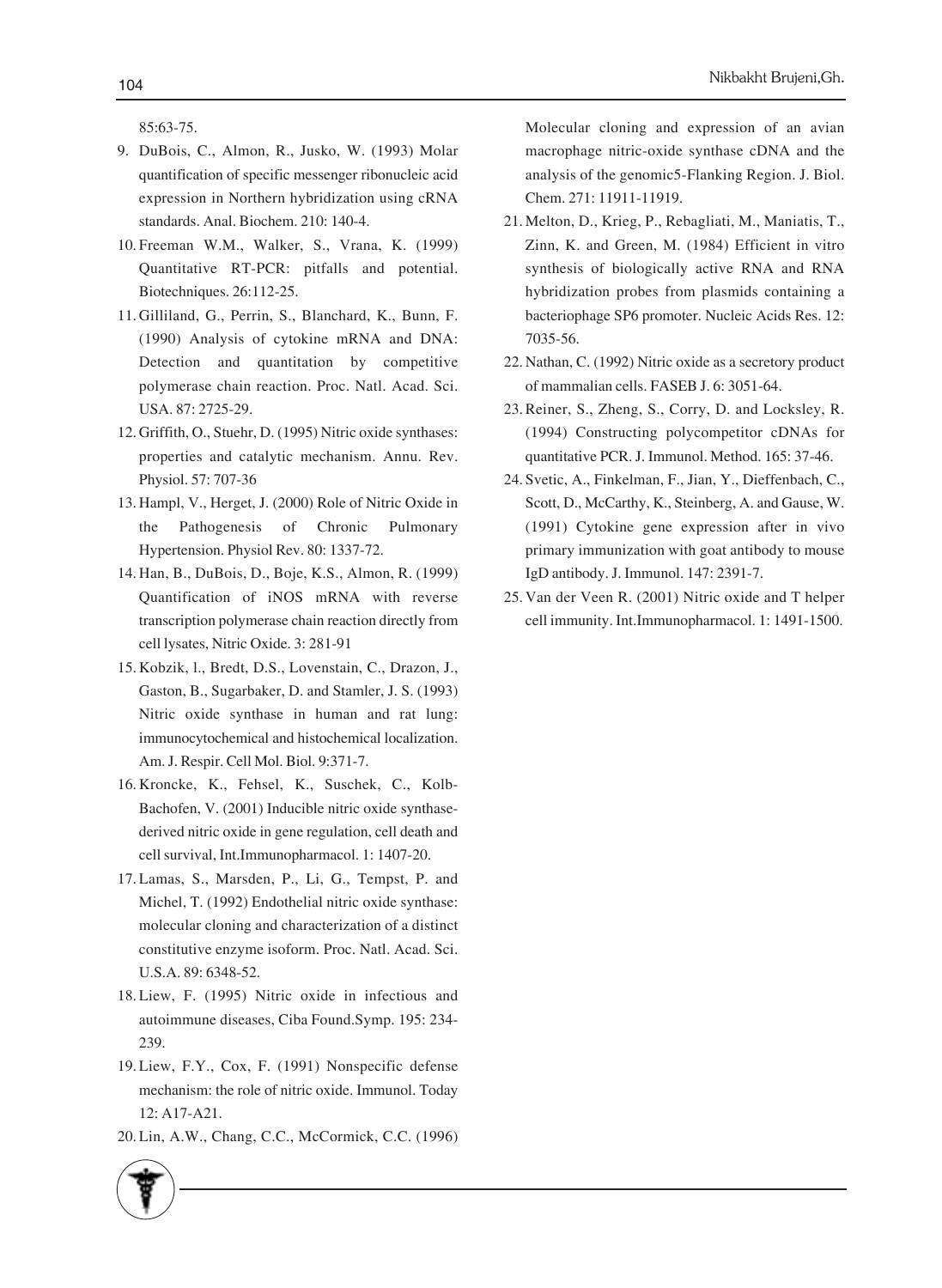85:63-75.

- DuBois, C., Almon, R., Jusko, W. (1993) Molar 9. quantification of specific messenger ribonucleic acid expression in Northern hybridization using cRNA standards. Anal. Biochem. 210: 140-4.
- Freeman W.M., Walker, S., Vrana, K. (1999) 10. Quantitative RT-PCR: pitfalls and potential. Biotechniques. 26:112-25.
- 11. Gilliland, G., Perrin, S., Blanchard, K., Bunn, F. (1990) Analysis of cytokine mRNA and DNA: Detection and quantitation by competitive polymerase chain reaction. Proc. Natl. Acad. Sci. USA. 87: 2725-29.
- 12. Griffith, O., Stuehr, D. (1995) Nitric oxide synthases: properties and catalytic mechanism. Annu. Rev. Physiol. 57: 707-36
- 13. Hampl, V., Herget, J. (2000) Role of Nitric Oxide in the Pathogenesis of Chronic Pulmonary Hypertension. Physiol Rev. 80: 1337-72.
- 14. Han, B., DuBois, D., Boje, K.S., Almon, R. (1999) Quantification of iNOS mRNA with reverse transcription polymerase chain reaction directly from cell lysates, Nitric Oxide. 3: 281-91
- 15. Kobzik, l., Bredt, D.S., Lovenstain, C., Drazon, J., Gaston, B., Sugarbaker, D. and Stamler, J. S. (1993) Nitric oxide synthase in human and rat lung: immunocytochemical and histochemical localization. Am. J. Respir. Cell Mol. Biol. 9:371-7.
- 16. Kroncke, K., Fehsel, K., Suschek, C., Kolb-Bachofen, V. (2001) Inducible nitric oxide synthasederived nitric oxide in gene regulation, cell death and cell survival, Int.Immunopharmacol. 1: 1407-20.
- 17. Lamas, S., Marsden, P., Li, G., Tempst, P. and Michel, T. (1992) Endothelial nitric oxide synthase: molecular cloning and characterization of a distinct constitutive enzyme isoform. Proc. Natl. Acad. Sci. U.S.A. 89: 6348-52.
- 18. Liew, F. (1995) Nitric oxide in infectious and autoimmune diseases, Ciba Found.Symp. 195: 234- 239.
- 19. Liew, F.Y., Cox, F. (1991) Nonspecific defense mechanism: the role of nitric oxide. Immunol. Today 12: A17-A21.
- 20. Lin, A.W., Chang, C.C., McCormick, C.C. (1996)

Molecular cloning and expression of an avian macrophage nitric-oxide synthase cDNA and the analysis of the genomic5-Flanking Region. J. Biol. Chem. 271: 11911-11919.

- 21. Melton, D., Krieg, P., Rebagliati, M., Maniatis, T., Zinn, K. and Green, M. (1984) Efficient in vitro synthesis of biologically active RNA and RNA hybridization probes from plasmids containing a bacteriophage SP6 promoter. Nucleic Acids Res. 12: 7035-56.
- 22. Nathan, C. (1992) Nitric oxide as a secretory product of mammalian cells. FASEB J. 6: 3051-64.
- 23. Reiner, S., Zheng, S., Corry, D. and Locksley, R. (1994) Constructing polycompetitor cDNAs for quantitative PCR. J. Immunol. Method. 165: 37-46.
- 24. Svetic, A., Finkelman, F., Jian, Y., Dieffenbach, C., Scott, D., McCarthy, K., Steinberg, A. and Gause, W. (1991) Cytokine gene expression after in vivo primary immunization with goat antibody to mouse IgD antibody. J. Immunol. 147: 2391-7.
- 25. Van der Veen R. (2001) Nitric oxide and T helper cell immunity. Int.Immunopharmacol. 1: 1491-1500.